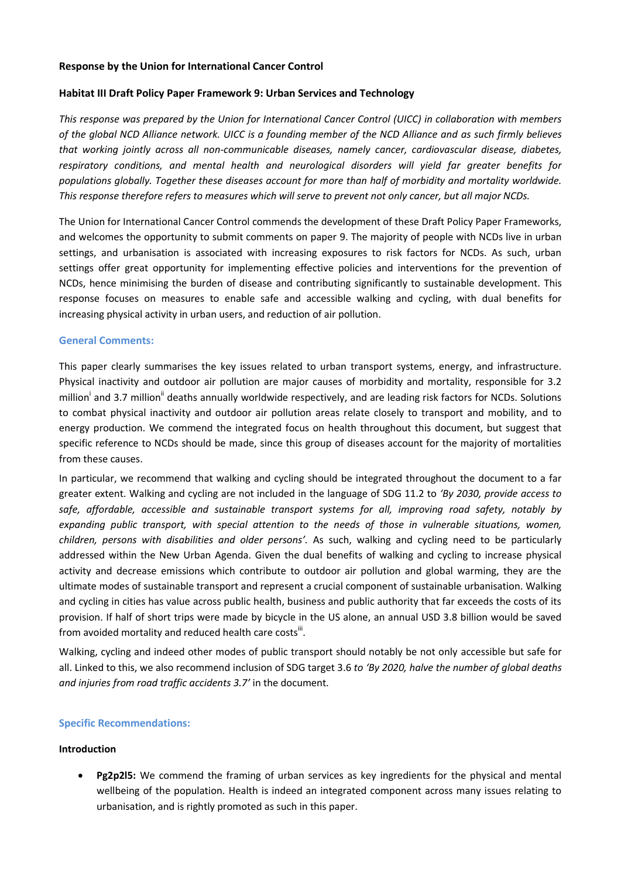## **Response by the Union for International Cancer Control**

## **Habitat III Draft Policy Paper Framework 9: Urban Services and Technology**

*This response was prepared by the Union for International Cancer Control (UICC) in collaboration with members of the global NCD Alliance network. UICC is a founding member of the NCD Alliance and as such firmly believes that working jointly across all non-communicable diseases, namely cancer, cardiovascular disease, diabetes, respiratory conditions, and mental health and neurological disorders will yield far greater benefits for populations globally. Together these diseases account for more than half of morbidity and mortality worldwide. This response therefore refers to measures which will serve to prevent not only cancer, but all major NCDs.*

The Union for International Cancer Control commends the development of these Draft Policy Paper Frameworks, and welcomes the opportunity to submit comments on paper 9. The majority of people with NCDs live in urban settings, and urbanisation is associated with increasing exposures to risk factors for NCDs. As such, urban settings offer great opportunity for implementing effective policies and interventions for the prevention of NCDs, hence minimising the burden of disease and contributing significantly to sustainable development. This response focuses on measures to enable safe and accessible walking and cycling, with dual benefits for increasing physical activity in urban users, and reduction of air pollution.

## **General Comments:**

This paper clearly summarises the key issues related to urban transport systems, energy, and infrastructure. Physical inactivity and outdoor air pollution are major causes of morbidity and mortality, responsible for 3.2 million<sup>i</sup> and 3.7 million<sup>ii</sup> deaths annually worldwide respectively, and are leading risk factors for NCDs. Solutions to combat physical inactivity and outdoor air pollution areas relate closely to transport and mobility, and to energy production. We commend the integrated focus on health throughout this document, but suggest that specific reference to NCDs should be made, since this group of diseases account for the majority of mortalities from these causes.

In particular, we recommend that walking and cycling should be integrated throughout the document to a far greater extent. Walking and cycling are not included in the language of SDG 11.2 to *'By 2030, provide access to safe, affordable, accessible and sustainable transport systems for all, improving road safety, notably by expanding public transport, with special attention to the needs of those in vulnerable situations, women, children, persons with disabilities and older persons'.* As such, walking and cycling need to be particularly addressed within the New Urban Agenda. Given the dual benefits of walking and cycling to increase physical activity and decrease emissions which contribute to outdoor air pollution and global warming, they are the ultimate modes of sustainable transport and represent a crucial component of sustainable urbanisation. Walking and cycling in cities has value across public health, business and public authority that far exceeds the costs of its provision. If half of short trips were made by bicycle in the US alone, an annual USD 3.8 billion would be saved from avoided mortality and reduced health care costs $^{\text{iii}}$ .

Walking, cycling and indeed other modes of public transport should notably be not only accessible but safe for all. Linked to this, we also recommend inclusion of SDG target 3.6 *to 'By 2020, halve the number of global deaths and injuries from road traffic accidents 3.7'* in the document.

# **Specific Recommendations:**

#### **Introduction**

 **Pg2p2l5:** We commend the framing of urban services as key ingredients for the physical and mental wellbeing of the population. Health is indeed an integrated component across many issues relating to urbanisation, and is rightly promoted as such in this paper.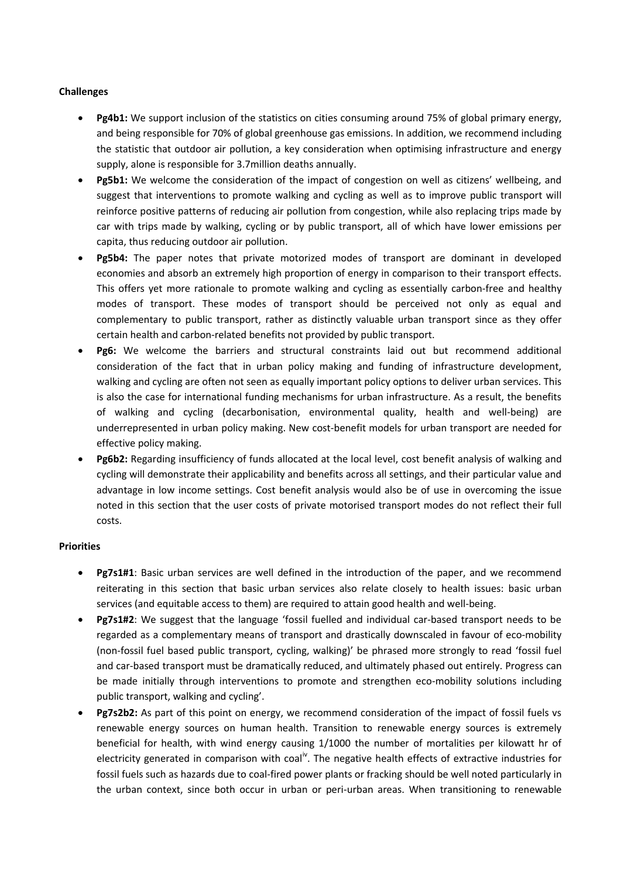## **Challenges**

- **Pg4b1:** We support inclusion of the statistics on cities consuming around 75% of global primary energy, and being responsible for 70% of global greenhouse gas emissions. In addition, we recommend including the statistic that outdoor air pollution, a key consideration when optimising infrastructure and energy supply, alone is responsible for 3.7million deaths annually.
- **Pg5b1:** We welcome the consideration of the impact of congestion on well as citizens' wellbeing, and suggest that interventions to promote walking and cycling as well as to improve public transport will reinforce positive patterns of reducing air pollution from congestion, while also replacing trips made by car with trips made by walking, cycling or by public transport, all of which have lower emissions per capita, thus reducing outdoor air pollution.
- **Pg5b4:** The paper notes that private motorized modes of transport are dominant in developed economies and absorb an extremely high proportion of energy in comparison to their transport effects. This offers yet more rationale to promote walking and cycling as essentially carbon-free and healthy modes of transport. These modes of transport should be perceived not only as equal and complementary to public transport, rather as distinctly valuable urban transport since as they offer certain health and carbon-related benefits not provided by public transport.
- **Pg6:** We welcome the barriers and structural constraints laid out but recommend additional consideration of the fact that in urban policy making and funding of infrastructure development, walking and cycling are often not seen as equally important policy options to deliver urban services. This is also the case for international funding mechanisms for urban infrastructure. As a result, the benefits of walking and cycling (decarbonisation, environmental quality, health and well-being) are underrepresented in urban policy making. New cost-benefit models for urban transport are needed for effective policy making.
- **Pg6b2:** Regarding insufficiency of funds allocated at the local level, cost benefit analysis of walking and cycling will demonstrate their applicability and benefits across all settings, and their particular value and advantage in low income settings. Cost benefit analysis would also be of use in overcoming the issue noted in this section that the user costs of private motorised transport modes do not reflect their full costs.

#### **Priorities**

- **Pg7s1#1**: Basic urban services are well defined in the introduction of the paper, and we recommend reiterating in this section that basic urban services also relate closely to health issues: basic urban services (and equitable access to them) are required to attain good health and well-being.
- **Pg7s1#2**: We suggest that the language 'fossil fuelled and individual car‐based transport needs to be regarded as a complementary means of transport and drastically downscaled in favour of eco-mobility (non‐fossil fuel based public transport, cycling, walking)' be phrased more strongly to read 'fossil fuel and car-based transport must be dramatically reduced, and ultimately phased out entirely. Progress can be made initially through interventions to promote and strengthen eco-mobility solutions including public transport, walking and cycling'.
- **Pg7s2b2:** As part of this point on energy, we recommend consideration of the impact of fossil fuels vs renewable energy sources on human health. Transition to renewable energy sources is extremely beneficial for health, with wind energy causing 1/1000 the number of mortalities per kilowatt hr of electricity generated in comparison with coal<sup>iv</sup>. The negative health effects of extractive industries for fossil fuels such as hazards due to coal-fired power plants or fracking should be well noted particularly in the urban context, since both occur in urban or peri-urban areas. When transitioning to renewable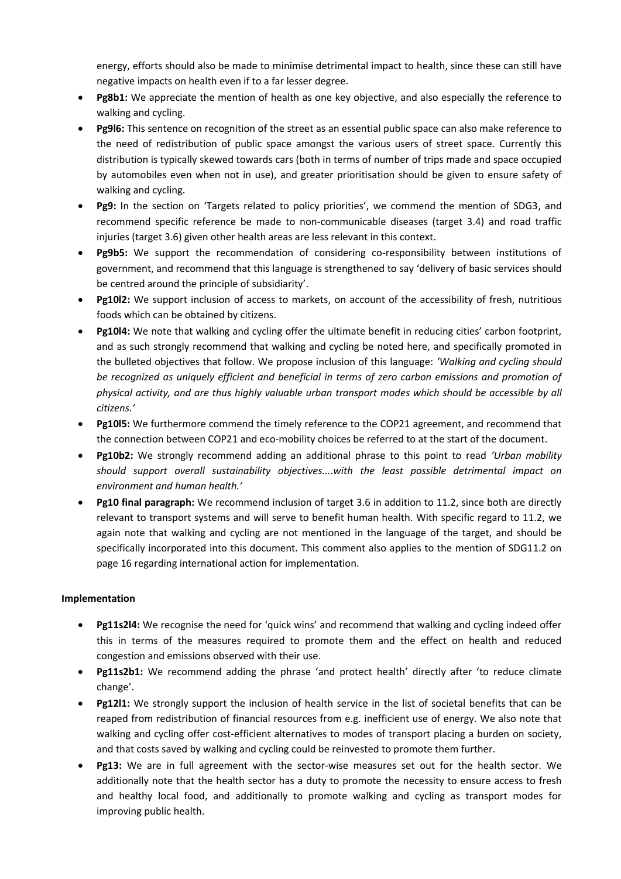energy, efforts should also be made to minimise detrimental impact to health, since these can still have negative impacts on health even if to a far lesser degree.

- **Pg8b1:** We appreciate the mention of health as one key objective, and also especially the reference to walking and cycling.
- **Pg9l6:** This sentence on recognition of the street as an essential public space can also make reference to the need of redistribution of public space amongst the various users of street space. Currently this distribution is typically skewed towards cars (both in terms of number of trips made and space occupied by automobiles even when not in use), and greater prioritisation should be given to ensure safety of walking and cycling.
- **Pg9:** In the section on 'Targets related to policy priorities', we commend the mention of SDG3, and recommend specific reference be made to non-communicable diseases (target 3.4) and road traffic injuries (target 3.6) given other health areas are less relevant in this context.
- **Pg9b5:** We support the recommendation of considering co-responsibility between institutions of government, and recommend that this language is strengthened to say 'delivery of basic services should be centred around the principle of subsidiarity'.
- **Pg10l2:** We support inclusion of access to markets, on account of the accessibility of fresh, nutritious foods which can be obtained by citizens.
- **Pg10l4:** We note that walking and cycling offer the ultimate benefit in reducing cities' carbon footprint, and as such strongly recommend that walking and cycling be noted here, and specifically promoted in the bulleted objectives that follow. We propose inclusion of this language: *'Walking and cycling should be recognized as uniquely efficient and beneficial in terms of zero carbon emissions and promotion of physical activity, and are thus highly valuable urban transport modes which should be accessible by all citizens.'*
- **Pg10l5:** We furthermore commend the timely reference to the COP21 agreement, and recommend that the connection between COP21 and eco-mobility choices be referred to at the start of the document.
- **Pg10b2:** We strongly recommend adding an additional phrase to this point to read *'Urban mobility should support overall sustainability objectives....with the least possible detrimental impact on environment and human health.'*
- **Pg10 final paragraph:** We recommend inclusion of target 3.6 in addition to 11.2, since both are directly relevant to transport systems and will serve to benefit human health. With specific regard to 11.2, we again note that walking and cycling are not mentioned in the language of the target, and should be specifically incorporated into this document. This comment also applies to the mention of SDG11.2 on page 16 regarding international action for implementation.

# **Implementation**

- **Pg11s2l4:** We recognise the need for 'quick wins' and recommend that walking and cycling indeed offer this in terms of the measures required to promote them and the effect on health and reduced congestion and emissions observed with their use.
- **Pg11s2b1:** We recommend adding the phrase 'and protect health' directly after 'to reduce climate change'.
- **Pg12l1:** We strongly support the inclusion of health service in the list of societal benefits that can be reaped from redistribution of financial resources from e.g. inefficient use of energy. We also note that walking and cycling offer cost-efficient alternatives to modes of transport placing a burden on society, and that costs saved by walking and cycling could be reinvested to promote them further.
- **Pg13:** We are in full agreement with the sector-wise measures set out for the health sector. We additionally note that the health sector has a duty to promote the necessity to ensure access to fresh and healthy local food, and additionally to promote walking and cycling as transport modes for improving public health.